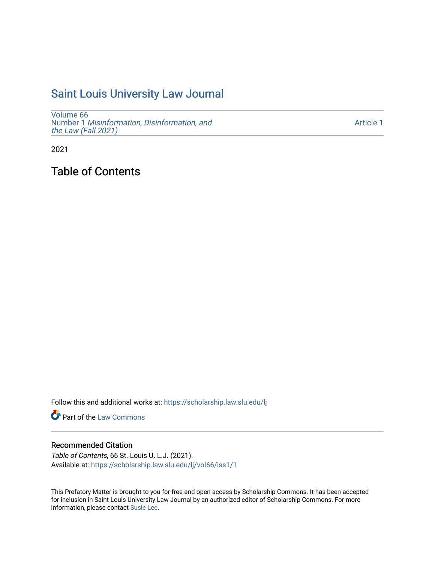# [Saint Louis University Law Journal](https://scholarship.law.slu.edu/lj)

[Volume 66](https://scholarship.law.slu.edu/lj/vol66) Number 1 [Misinformation, Disinformation, and](https://scholarship.law.slu.edu/lj/vol66/iss1)  [the Law \(Fall 2021\)](https://scholarship.law.slu.edu/lj/vol66/iss1)

[Article 1](https://scholarship.law.slu.edu/lj/vol66/iss1/1) 

2021

Table of Contents

Follow this and additional works at: [https://scholarship.law.slu.edu/lj](https://scholarship.law.slu.edu/lj?utm_source=scholarship.law.slu.edu%2Flj%2Fvol66%2Fiss1%2F1&utm_medium=PDF&utm_campaign=PDFCoverPages) 

Part of the [Law Commons](http://network.bepress.com/hgg/discipline/578?utm_source=scholarship.law.slu.edu%2Flj%2Fvol66%2Fiss1%2F1&utm_medium=PDF&utm_campaign=PDFCoverPages)

#### Recommended Citation

Table of Contents, 66 St. Louis U. L.J. (2021). Available at: [https://scholarship.law.slu.edu/lj/vol66/iss1/1](https://scholarship.law.slu.edu/lj/vol66/iss1/1?utm_source=scholarship.law.slu.edu%2Flj%2Fvol66%2Fiss1%2F1&utm_medium=PDF&utm_campaign=PDFCoverPages) 

This Prefatory Matter is brought to you for free and open access by Scholarship Commons. It has been accepted for inclusion in Saint Louis University Law Journal by an authorized editor of Scholarship Commons. For more information, please contact [Susie Lee](mailto:susie.lee@slu.edu).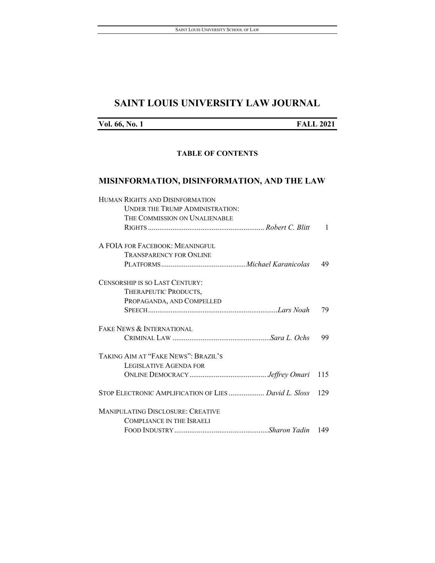# **SAINT LOUIS UNIVERSITY LAW JOURNAL**

| Vol. 66, No. 1 |  |  |  |
|----------------|--|--|--|
|----------------|--|--|--|

**Vol. 66, No. 1 FALL 2021**

#### **TABLE OF CONTENTS**

## **MISINFORMATION, DISINFORMATION, AND THE LAW**

| HUMAN RIGHTS AND DISINFORMATION                       |              |
|-------------------------------------------------------|--------------|
| <b>UNDER THE TRUMP ADMINISTRATION:</b>                |              |
| THE COMMISSION ON UNALIENABLE                         |              |
|                                                       | $\mathbf{1}$ |
| A FOIA FOR FACEBOOK: MEANINGFUL                       |              |
| <b>TRANSPARENCY FOR ONLINE</b>                        |              |
|                                                       | 49           |
| CENSORSHIP IS SO LAST CENTURY:                        |              |
| THERAPEUTIC PRODUCTS,                                 |              |
| PROPAGANDA, AND COMPELLED                             |              |
|                                                       | 79           |
| FAKE NEWS & INTERNATIONAL                             |              |
|                                                       | 99           |
| TAKING AIM AT "FAKE NEWS": BRAZIL'S                   |              |
| <b>LEGISLATIVE AGENDA FOR</b>                         |              |
|                                                       | 115          |
| STOP ELECTRONIC AMPLIFICATION OF LIES  David L. Sloss | 129          |
| <b>MANIPULATING DISCLOSURE: CREATIVE</b>              |              |
| <b>COMPLIANCE IN THE ISRAELI</b>                      |              |
|                                                       |              |